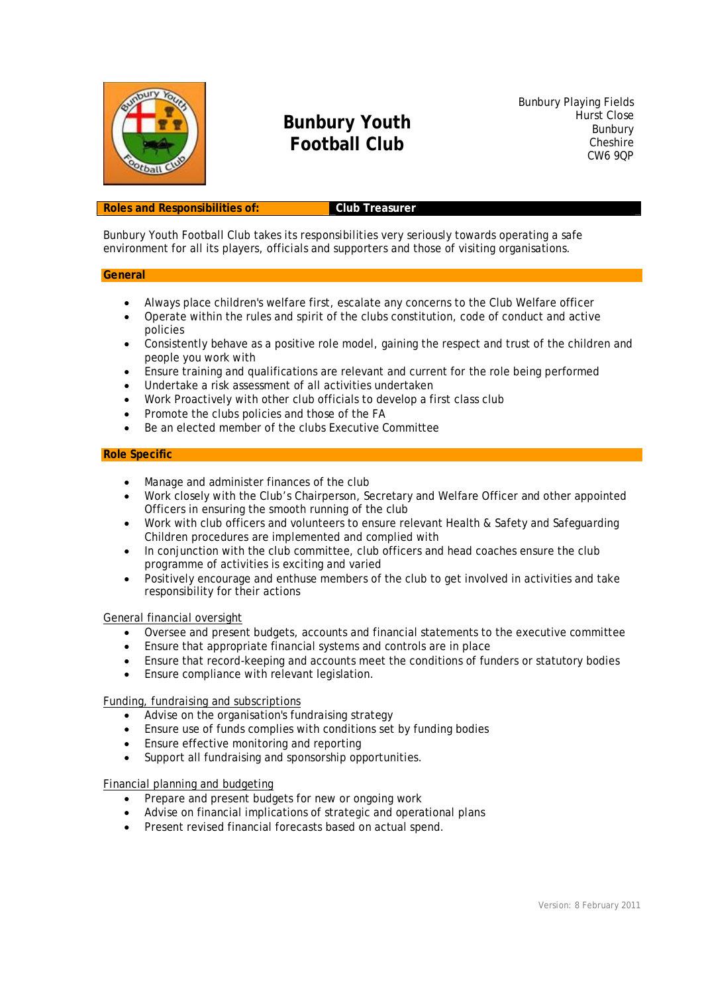

# **Bunbury Youth Football Club**

Bunbury Playing Fields Hurst Close Bunbury **Cheshire** CW6 9QP

#### **Roles and Responsibilities of: Club Treasurer**

Bunbury Youth Football Club takes its responsibilities very seriously towards operating a safe environment for all its players, officials and supporters and those of visiting organisations.

#### **General**

- Always place children's welfare first, escalate any concerns to the Club Welfare officer
- Operate within the rules and spirit of the clubs constitution, code of conduct and active policies
- Consistently behave as a positive role model, gaining the respect and trust of the children and people you work with
- Ensure training and qualifications are relevant and current for the role being performed
- Undertake a risk assessment of all activities undertaken
- Work Proactively with other club officials to develop a first class club
- Promote the clubs policies and those of the FA
- Be an elected member of the clubs Executive Committee

#### **Role Specific**

- Manage and administer finances of the club
- Work closely with the Club's Chairperson, Secretary and Welfare Officer and other appointed Officers in ensuring the smooth running of the club
- Work with club officers and volunteers to ensure relevant Health & Safety and Safeguarding Children procedures are implemented and complied with
- In conjunction with the club committee, club officers and head coaches ensure the club programme of activities is exciting and varied
- Positively encourage and enthuse members of the club to get involved in activities and take responsibility for their actions

#### General financial oversight

- Oversee and present budgets, accounts and financial statements to the executive committee
- Ensure that appropriate financial systems and controls are in place
- Ensure that record-keeping and accounts meet the conditions of funders or statutory bodies
- Ensure compliance with relevant legislation.

### Funding, fundraising and subscriptions

- Advise on the organisation's fundraising strategy
- Ensure use of funds complies with conditions set by funding bodies
- Ensure effective monitoring and reporting
- Support all fundraising and sponsorship opportunities.

### Financial planning and budgeting

- Prepare and present budgets for new or ongoing work
- Advise on financial implications of strategic and operational plans
- Present revised financial forecasts based on actual spend.